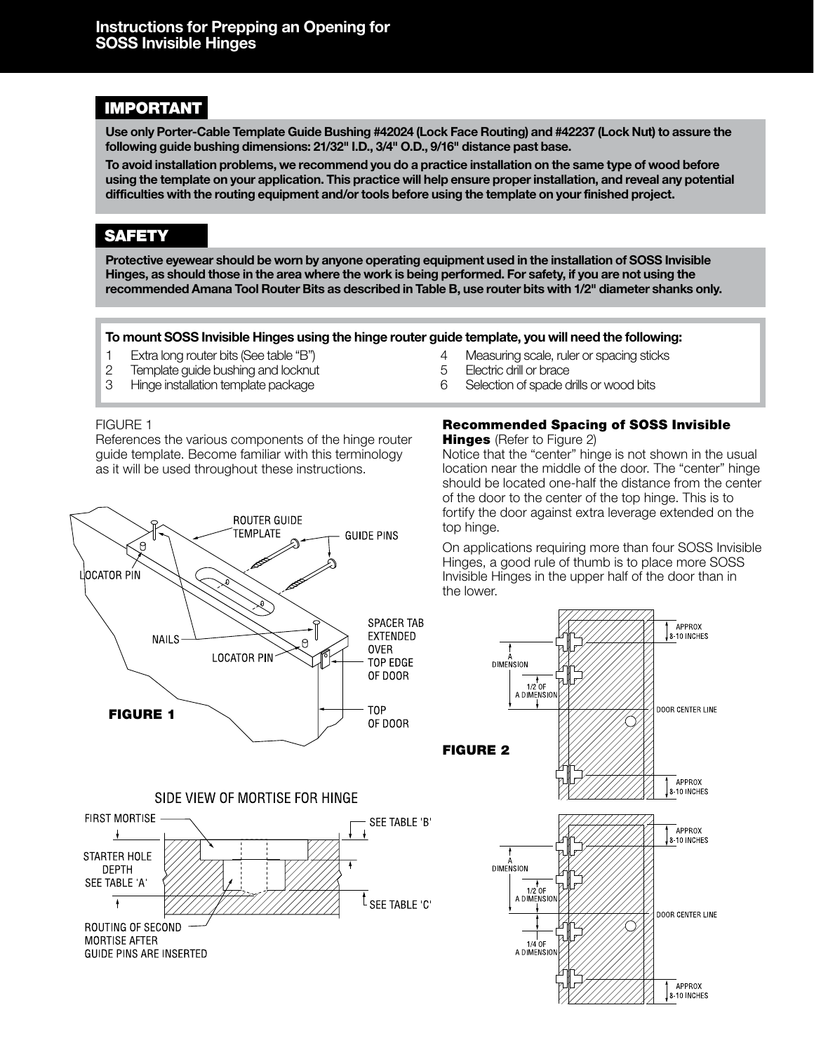# IMPORTANT

**Use only Porter-Cable Template Guide Bushing #42024 (Lock Face Routing) and #42237 (Lock Nut) to assure the following guide bushing dimensions: 21/32" I.D., 3/4" O.D., 9/16" distance past base.**

**To avoid installation problems, we recommend you do a practice installation on the same type of wood before using the template on your application. This practice will help ensure proper installation, and reveal any potential difficulties with the routing equipment and/or tools before using the template on your finished project.**

# SAFETY

**Protective eyewear should be worn by anyone operating equipment used in the installation of SOSS Invisible Hinges, as should those in the area where the work is being performed. For safety, if you are not using the recommended Amana Tool Router Bits as described in Table B, use router bits with 1/2" diameter shanks only.**

#### **To mount SOSS Invisible Hinges using the hinge router guide template, you will need the following:**

- 1 Extra long router bits (See table "B") 4 Measuring scale, ruler or spacing sticks
- 2 Template guide bushing and locknut 5 Electric drill or brace
- 3 Hinge installation template package 6 Selection of spade drills or wood bits

#### FIGURE 1

References the various components of the hinge router guide template. Become familiar with this terminology as it will be used throughout these instructions.



## SIDE VIEW OF MORTISE FOR HINGE



- 
- 

# Recommended Spacing of SOSS Invisible

**Hinges** (Refer to Figure 2)

Notice that the "center" hinge is not shown in the usual location near the middle of the door. The "center" hinge should be located one-half the distance from the center of the door to the center of the top hinge. This is to fortify the door against extra leverage extended on the top hinge.

On applications requiring more than four SOSS Invisible Hinges, a good rule of thumb is to place more SOSS Invisible Hinges in the upper half of the door than in the lower.

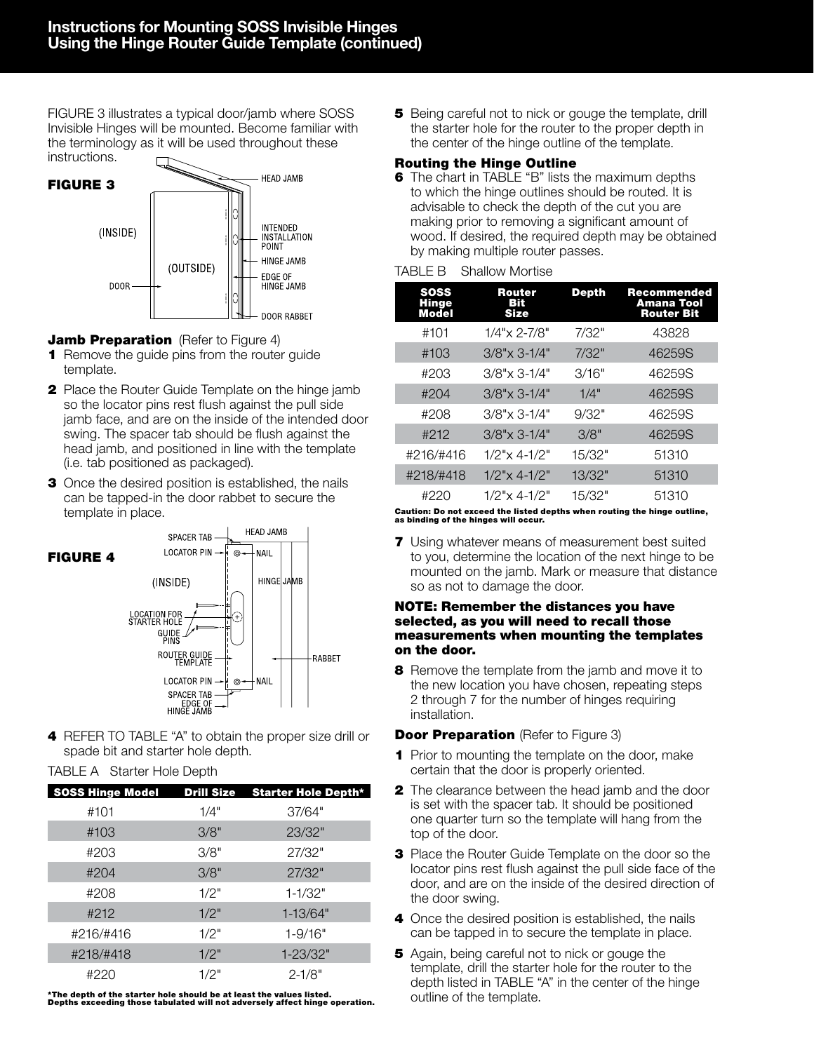FIGURE 3 illustrates a typical door/jamb where SOSS Invisible Hinges will be mounted. Become familiar with the terminology as it will be used throughout these instructions.



## **Jamb Preparation** (Refer to Figure 4)

- **1** Remove the guide pins from the router guide template.
- **2** Place the Router Guide Template on the hinge jamb so the locator pins rest flush against the pull side jamb face, and are on the inside of the intended door swing. The spacer tab should be flush against the head jamb, and positioned in line with the template (i.e. tab positioned as packaged).
- **3** Once the desired position is established, the nails can be tapped-in the door rabbet to secure the template in place.



4 REFER TO TABLE "A" to obtain the proper size drill or spade bit and starter hole depth.

## TABLE A Starter Hole Depth

|           |      | SOSS Hinge Model Drill Size Starter Hole Depth* |
|-----------|------|-------------------------------------------------|
| #101      | 1/4" | 37/64"                                          |
| #103      | 3/8" | 23/32"                                          |
| #203      | 3/8" | 27/32"                                          |
| #204      | 3/8" | 27/32"                                          |
| #208      | 1/2" | $1 - 1/32"$                                     |
| #212      | 1/2" | $1 - 13/64"$                                    |
| #216/#416 | 1/2" | $1 - 9/16"$                                     |
| #218/#418 | 1/2" | 1-23/32"                                        |
| #220      | 1/2" | $2 - 1/8"$                                      |

\*The depth of the starter hole should be at least the values listed. Depths exceeding those tabulated will not adversely affect hinge operation.

**5** Being careful not to nick or gouge the template, drill the starter hole for the router to the proper depth in the center of the hinge outline of the template.

### Routing the Hinge Outline

**6** The chart in TABLE "B" lists the maximum depths to which the hinge outlines should be routed. It is advisable to check the depth of the cut you are making prior to removing a significant amount of wood. If desired, the required depth may be obtained by making multiple router passes.

### TABLE B Shallow Mortise

| <b>SOSS</b><br><b>Hinge</b><br>Model | <b>Router</b><br>вю<br><b>Size</b> | <b>Depth</b> | Recommended<br>Amana Tool<br><b>Router Bit</b> |
|--------------------------------------|------------------------------------|--------------|------------------------------------------------|
| #101                                 | $1/4$ "x 2-7/8"                    | 7/32"        | 43828                                          |
| #103                                 | $3/8$ "x 3-1/4"                    | 7/32"        | 46259S                                         |
| #203                                 | $3/8$ "x 3-1/4"                    | 3/16"        | 46259S                                         |
| #204                                 | $3/8$ "x 3-1/4"                    | 1/4"         | 46259S                                         |
| #208                                 | $3/8$ "x 3-1/4"                    | 9/32"        | 46259S                                         |
| #212                                 | $3/8$ "x 3-1/4"                    | 3/8"         | 46259S                                         |
| #216/#416                            | $1/2$ " $\times$ 4-1/2"            | 15/32"       | 51310                                          |
| #218/#418                            | $1/2$ "x 4-1/2"                    | 13/32"       | 51310                                          |
| #220                                 | $1/2$ " $\times$ 4-1/2"            | 15/32"       | 51310                                          |

# Caution: Do not exceed the listed depths when routing the hinge outline, as binding of the hinges will occur.

**7** Using whatever means of measurement best suited to you, determine the location of the next hinge to be mounted on the jamb. Mark or measure that distance so as not to damage the door.

#### NOTE: Remember the distances you have selected, as you will need to recall those measurements when mounting the templates on the door.

8 Remove the template from the jamb and move it to the new location you have chosen, repeating steps 2 through 7 for the number of hinges requiring installation.

## **Door Preparation** (Refer to Figure 3)

- **1** Prior to mounting the template on the door, make certain that the door is properly oriented.
- **2** The clearance between the head jamb and the door is set with the spacer tab. It should be positioned one quarter turn so the template will hang from the top of the door.
- **3** Place the Router Guide Template on the door so the locator pins rest flush against the pull side face of the door, and are on the inside of the desired direction of the door swing.
- 4 Once the desired position is established, the nails can be tapped in to secure the template in place.
- **5** Again, being careful not to nick or gouge the template, drill the starter hole for the router to the depth listed in TABLE "A" in the center of the hinge outline of the template.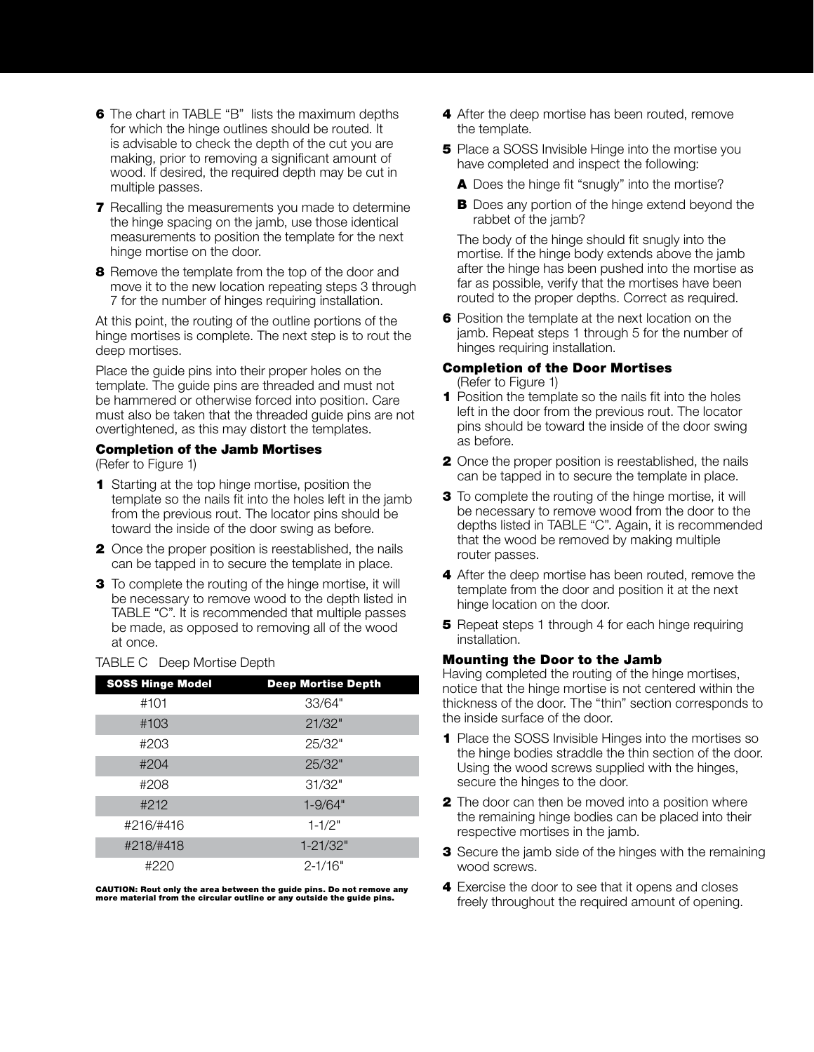- **6** The chart in TABLE "B" lists the maximum depths for which the hinge outlines should be routed. It is advisable to check the depth of the cut you are making, prior to removing a significant amount of wood. If desired, the required depth may be cut in multiple passes.
- **7** Recalling the measurements you made to determine the hinge spacing on the jamb, use those identical measurements to position the template for the next hinge mortise on the door.
- **8** Remove the template from the top of the door and move it to the new location repeating steps 3 through 7 for the number of hinges requiring installation.

At this point, the routing of the outline portions of the hinge mortises is complete. The next step is to rout the deep mortises.

Place the guide pins into their proper holes on the template. The guide pins are threaded and must not be hammered or otherwise forced into position. Care must also be taken that the threaded guide pins are not overtightened, as this may distort the templates.

#### Completion of the Jamb Mortises

(Refer to Figure 1)

- 1 Starting at the top hinge mortise, position the template so the nails fit into the holes left in the jamb from the previous rout. The locator pins should be toward the inside of the door swing as before.
- **2** Once the proper position is reestablished, the nails can be tapped in to secure the template in place.
- **3** To complete the routing of the hinge mortise, it will be necessary to remove wood to the depth listed in TABLE "C". It is recommended that multiple passes be made, as opposed to removing all of the wood at once.

#### TABLE C Deep Mortise Depth

| <b>SOSS Hinge Model</b> | <b>Deep Mortise Depth</b> |
|-------------------------|---------------------------|
| #101                    | 33/64"                    |
| #103                    | 21/32"                    |
| #203                    | 25/32"                    |
| #204                    | 25/32"                    |
| #208                    | 31/32"                    |
| #212                    | $1 - 9/64"$               |
| #216/#416               | $1 - 1/2"$                |
| #218/#418               | $1 - 21/32"$              |
| #220                    | $2 - 1/16"$               |

CAUTION: Rout only the area between the guide pins. Do not remove any more material from the circular outline or any outside the guide pins.

- 4 After the deep mortise has been routed, remove the template.
- **5** Place a SOSS Invisible Hinge into the mortise you have completed and inspect the following:
	- A Does the hinge fit "snugly" into the mortise?
	- **B** Does any portion of the hinge extend beyond the rabbet of the jamb?

The body of the hinge should fit snugly into the mortise. If the hinge body extends above the jamb after the hinge has been pushed into the mortise as far as possible, verify that the mortises have been routed to the proper depths. Correct as required.

**6** Position the template at the next location on the jamb. Repeat steps 1 through 5 for the number of hinges requiring installation.

# Completion of the Door Mortises

- (Refer to Figure 1) **1** Position the template so the nails fit into the holes
- left in the door from the previous rout. The locator pins should be toward the inside of the door swing as before.
- 2 Once the proper position is reestablished, the nails can be tapped in to secure the template in place.
- **3** To complete the routing of the hinge mortise, it will be necessary to remove wood from the door to the depths listed in TABLE "C". Again, it is recommended that the wood be removed by making multiple router passes.
- 4 After the deep mortise has been routed, remove the template from the door and position it at the next hinge location on the door.
- **5** Repeat steps 1 through 4 for each hinge requiring installation.

## Mounting the Door to the Jamb

Having completed the routing of the hinge mortises, notice that the hinge mortise is not centered within the thickness of the door. The "thin" section corresponds to the inside surface of the door.

- **1** Place the SOSS Invisible Hinges into the mortises so the hinge bodies straddle the thin section of the door. Using the wood screws supplied with the hinges, secure the hinges to the door.
- **2** The door can then be moved into a position where the remaining hinge bodies can be placed into their respective mortises in the jamb.
- **3** Secure the jamb side of the hinges with the remaining wood screws.
- 4 Exercise the door to see that it opens and closes freely throughout the required amount of opening.